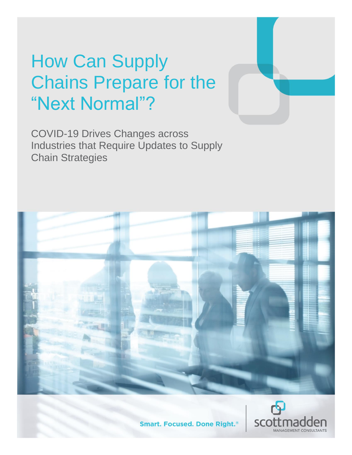# How Can Supply Chains Prepare for the "Next Normal"?

COVID-19 Drives Changes across Industries that Require Updates to Supply Chain Strategies





**Smart. Focused. Done Right.**®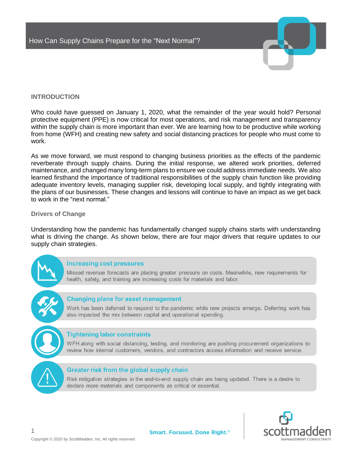

# **INTRODUCTION**

Who could have guessed on January 1, 2020, what the remainder of the year would hold? Personal protective equipment (PPE) is now critical for most operations, and risk management and transparency within the supply chain is more important than ever. We are learning how to be productive while working from home (WFH) and creating new safety and social distancing practices for people who must come to work.

As we move forward, we must respond to changing business priorities as the effects of the pandemic reverberate through supply chains. During the initial response, we altered work priorities, deferred maintenance, and changed many long-term plans to ensure we could address immediate needs. We also learned firsthand the importance of traditional responsibilities of the supply chain function like providing adequate inventory levels, managing supplier risk, developing local supply, and tightly integrating with the plans of our businesses. These changes and lessons will continue to have an impact as we get back to work in the "next normal."

## **Drivers of Change**

Understanding how the pandemic has fundamentally changed supply chains starts with understanding what is driving the change. As shown below, there are four major drivers that require updates to our supply chain strategies.

#### **Increasing cost pressures**

Missed revenue forecasts are placing greater pressure on costs. Meanwhile, new requirements for health, safety, and training are increasing costs for materials and labor.

## **Changing plans for asset management**

Work has been deferred to respond to the pandemic while new projects emerge. Deferring work has also impacted the mix between capital and operational spending.

## **Tightening labor constraints**

WFH along with social distancing, testing, and monitoring are pushing procurement organizations to review how internal customers, vendors, and contractors access information and receive service.

## Greater risk from the global supply chain

Risk mitigation strategies in the end-to-end supply chain are being updated. There is a desire to declare more materials and components as critical or essential.

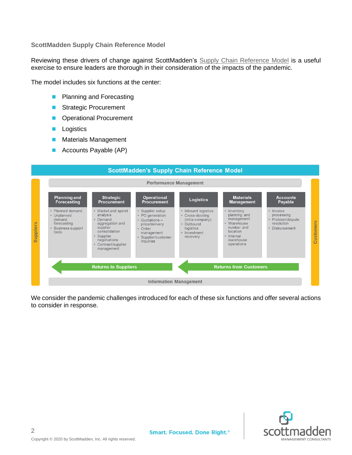**ScottMadden Supply Chain Reference Model**

Reviewing these drivers of change against ScottMadden's [Supply Chain Reference Model](https://info.scottmadden.com/acton/media/43004/supply-chain-excellence) is a useful exercise to ensure leaders are thorough in their consideration of the impacts of the pandemic.

The model includes six functions at the center:

- Planning and Forecasting
- Strategic Procurement
- Operational Procurement
- Logistics
- Materials Management
- Accounts Payable (AP)



We consider the pandemic challenges introduced for each of these six functions and offer several actions to consider in response.

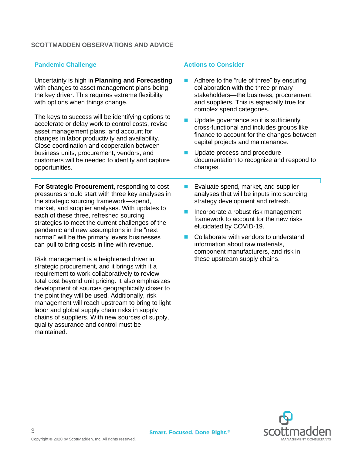# **SCOTTMADDEN OBSERVATIONS AND ADVICE**

# **Pandemic Challenge Actions to Consider Actions to Consider**

Uncertainty is high in **Planning and Forecasting** with changes to asset management plans being the key driver. This requires extreme flexibility with options when things change.

The keys to success will be identifying options to accelerate or delay work to control costs, revise asset management plans, and account for changes in labor productivity and availability. Close coordination and cooperation between business units, procurement, vendors, and customers will be needed to identify and capture opportunities.

For **Strategic Procurement**, responding to cost pressures should start with three key analyses in the strategic sourcing framework—spend, market, and supplier analyses. With updates to each of these three, refreshed sourcing strategies to meet the current challenges of the pandemic and new assumptions in the "next normal" will be the primary levers businesses can pull to bring costs in line with revenue.

Risk management is a heightened driver in strategic procurement, and it brings with it a requirement to work collaboratively to review total cost beyond unit pricing. It also emphasizes development of sources geographically closer to the point they will be used. Additionally, risk management will reach upstream to bring to light labor and global supply chain risks in supply chains of suppliers. With new sources of supply, quality assurance and control must be maintained.

- Adhere to the "rule of three" by ensuring collaboration with the three primary stakeholders—the business, procurement, and suppliers. This is especially true for complex spend categories.
- Update governance so it is sufficiently cross-functional and includes groups like finance to account for the changes between capital projects and maintenance.
- Update process and procedure documentation to recognize and respond to changes.
- Evaluate spend, market, and supplier analyses that will be inputs into sourcing strategy development and refresh.
- Incorporate a robust risk management framework to account for the new risks elucidated by COVID-19.
- Collaborate with vendors to understand information about raw materials, component manufacturers, and risk in these upstream supply chains.

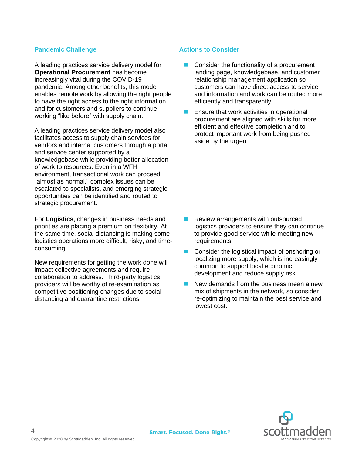# **Pandemic Challenge Actions to Consider Actions to Consider**

A leading practices service delivery model for **Operational Procurement** has become increasingly vital during the COVID-19 pandemic. Among other benefits, this model enables remote work by allowing the right people to have the right access to the right information and for customers and suppliers to continue working "like before" with supply chain.

A leading practices service delivery model also facilitates access to supply chain services for vendors and internal customers through a portal and service center supported by a knowledgebase while providing better allocation of work to resources. Even in a WFH environment, transactional work can proceed "almost as normal," complex issues can be escalated to specialists, and emerging strategic opportunities can be identified and routed to strategic procurement.

For **Logistics**, changes in business needs and priorities are placing a premium on flexibility. At the same time, social distancing is making some logistics operations more difficult, risky, and timeconsuming.

New requirements for getting the work done will impact collective agreements and require collaboration to address. Third-party logistics providers will be worthy of re-examination as competitive positioning changes due to social distancing and quarantine restrictions.

■ Consider the functionality of a procurement landing page, knowledgebase, and customer relationship management application so customers can have direct access to service and information and work can be routed more efficiently and transparently.

■ Ensure that work activities in operational procurement are aligned with skills for more efficient and effective completion and to protect important work from being pushed aside by the urgent.

- Review arrangements with outsourced logistics providers to ensure they can continue to provide good service while meeting new requirements.
- Consider the logistical impact of onshoring or localizing more supply, which is increasingly common to support local economic development and reduce supply risk.
- New demands from the business mean a new mix of shipments in the network, so consider re-optimizing to maintain the best service and lowest cost.

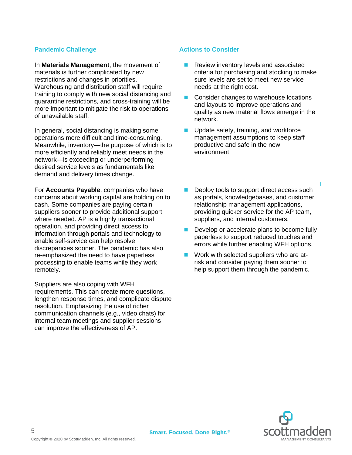# **Pandemic Challenge <b>Actions** to Consider

In **Materials Management**, the movement of materials is further complicated by new restrictions and changes in priorities. Warehousing and distribution staff will require training to comply with new social distancing and quarantine restrictions, and cross-training will be more important to mitigate the risk to operations of unavailable staff.

In general, social distancing is making some operations more difficult and time-consuming. Meanwhile, inventory—the purpose of which is to more efficiently and reliably meet needs in the network—is exceeding or underperforming desired service levels as fundamentals like demand and delivery times change.

For **Accounts Payable**, companies who have concerns about working capital are holding on to cash. Some companies are paying certain suppliers sooner to provide additional support where needed. AP is a highly transactional operation, and providing direct access to information through portals and technology to enable self-service can help resolve discrepancies sooner. The pandemic has also re-emphasized the need to have paperless processing to enable teams while they work remotely.

Suppliers are also coping with WFH requirements. This can create more questions, lengthen response times, and complicate dispute resolution. Emphasizing the use of richer communication channels (e.g., video chats) for internal team meetings and supplier sessions can improve the effectiveness of AP.

- Review inventory levels and associated criteria for purchasing and stocking to make sure levels are set to meet new service needs at the right cost.
- ◼ Consider changes to warehouse locations and layouts to improve operations and quality as new material flows emerge in the network.
- Update safety, training, and workforce management assumptions to keep staff productive and safe in the new environment.
- Deploy tools to support direct access such as portals, knowledgebases, and customer relationship management applications, providing quicker service for the AP team, suppliers, and internal customers.
- Develop or accelerate plans to become fully paperless to support reduced touches and errors while further enabling WFH options.
- Work with selected suppliers who are atrisk and consider paying them sooner to help support them through the pandemic.

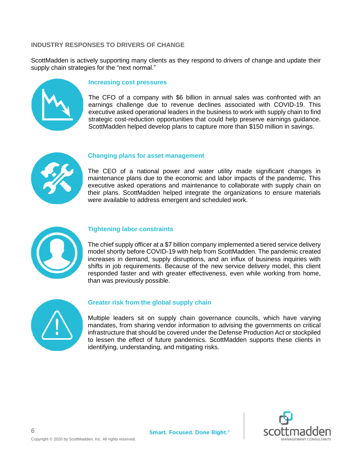# **INDUSTRY RESPONSES TO DRIVERS OF CHANGE**

ScottMadden is actively supporting many clients as they respond to drivers of change and update their supply chain strategies for the "next normal."



# **Increasing cost pressures**

The CFO of a company with \$6 billion in annual sales was confronted with an earnings challenge due to revenue declines associated with COVID-19. This executive asked operational leaders in the business to work with supply chain to find strategic cost-reduction opportunities that could help preserve earnings guidance. ScottMadden helped develop plans to capture more than \$150 million in savings.



## **Changing plans for asset management**

The CEO of a national power and water utility made significant changes in maintenance plans due to the economic and labor impacts of the pandemic. This executive asked operations and maintenance to collaborate with supply chain on their plans. ScottMadden helped integrate the organizations to ensure materials were available to address emergent and scheduled work.



# **Tightening labor constraints**

The chief supply officer at a \$7 billion company implemented a tiered service delivery model shortly before COVID-19 with help from ScottMadden. The pandemic created increases in demand, supply disruptions, and an influx of business inquiries with shifts in job requirements. Because of the new service delivery model, this client responded faster and with greater effectiveness, even while working from home, than was previously possible.



## **Greater risk from the global supply chain**

Multiple leaders sit on supply chain governance councils, which have varying mandates, from sharing vendor information to advising the governments on critical infrastructure that should be covered under the Defense Production Act or stockpiled to lessen the effect of future pandemics. ScottMadden supports these clients in identifying, understanding, and mitigating risks.